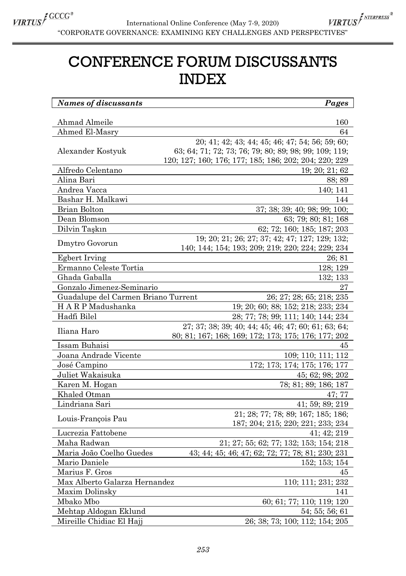

 $\textit{\underline{VRTUS}}^f \xrightarrow{\textit{GUCG}^*} \textit{International Online Conference (May 7-9, 2020)} \textit{VIRT}^e \xrightarrow{\textit{CORPORTE GOVERNAME} } \textit{GOVERNANCE: EXAMPLE GLY CHALLENGES AND PERSPECTIVES''} \xrightarrow{\textit{CORPORTVES}^*} \textit{VIRT}^e \xrightarrow{\textit{CORPORTVES}^*} \textit{VIRT}^e \xrightarrow{\textit{CORPORTVES}^*} \textit{VIRT}^e \xrightarrow{\textit{CORPORTVES}^*} \textit{VIRT}^e \xrightarrow{\textit{CORPORTVES}^*} \textit{VIRT}^e$ VIRTUS<sup>INTERPRESS®</sup> International Online Conference (May 7-9, 2020)

## CONFERENCE FORUM DISCUSSANTS INDEX

| Names of discussants                                                               | Pages                                                                         |
|------------------------------------------------------------------------------------|-------------------------------------------------------------------------------|
|                                                                                    |                                                                               |
| Ahmad Almeile                                                                      | 160                                                                           |
| Ahmed El-Masry                                                                     | 64                                                                            |
|                                                                                    | 20; 41; 42; 43; 44; 45; 46; 47; 54; 56; 59; 60;                               |
| Alexander Kostyuk                                                                  | 63; 64; 71; 72; 73; 76; 79; 80; 89; 98; 99; 109; 119;                         |
|                                                                                    | 120; 127; 160; 176; 177; 185; 186; 202; 204; 220; 229                         |
| Alfredo Celentano                                                                  | 19; 20; 21; 62                                                                |
| Alina Bari                                                                         | 88; 89                                                                        |
| Andrea Vacca                                                                       | 140; 141                                                                      |
| Bashar H. Malkawi                                                                  | 144                                                                           |
| <b>Brian Bolton</b>                                                                | 37; 38; 39; 40; 98; 99; 100;                                                  |
| Dean Blomson                                                                       | 63: 79: 80: 81: 168                                                           |
| Dilvin Taşkın                                                                      | 62; 72; 160; 185; 187; 203                                                    |
| Dmytro Govorun                                                                     | 19: 20: 21: 26: 27: 37: 42: 47: 127: 129: 132:                                |
|                                                                                    | 140; 144; 154; 193; 209; 219; 220; 224; 229; 234                              |
| Egbert Irving                                                                      | 26; 81                                                                        |
| Ermanno Celeste Tortia                                                             | 128; 129                                                                      |
| Ghada Gaballa                                                                      | 132; 133                                                                      |
| Gonzalo Jimenez-Seminario                                                          | 27                                                                            |
| Guadalupe del Carmen Briano Turrent                                                | 26; 27; 28; 65; 218; 235                                                      |
| H A R P Madushanka                                                                 | 19; 20; 60; 88; 152; 218; 233; 234                                            |
| Hadfi Bilel                                                                        | 28; 77; 78; 99; 111; 140; 144; 234                                            |
| Iliana Haro                                                                        | 27; 37; 38; 39; 40; 44; 45; 46; 47; 60; 61; 63; 64;                           |
|                                                                                    | 80; 81; 167; 168; 169; 172; 173; 175; 176; 177; 202                           |
| Issam Buhaisi                                                                      | 45                                                                            |
| Joana Andrade Vicente                                                              | 109; 110; 111; 112                                                            |
| José Campino                                                                       | 172; 173; 174; 175; 176; 177                                                  |
| Juliet Wakaisuka                                                                   | 45; 62; 98; 202                                                               |
| Karen M. Hogan                                                                     | 78, 81, 89, 186, 187                                                          |
| Khaled Otman                                                                       | 47: 77                                                                        |
| Lindriana Sari                                                                     | 41: 59: 89: 219                                                               |
| Louis François Pau                                                                 | 21; 28; 77; 78; 89; 167; 185; 186;                                            |
|                                                                                    | 187; 204; 215; 220; 221; 233; 234                                             |
| Lucrezia Fattobene                                                                 | 41; 42; 219                                                                   |
| Maha Radwan                                                                        | 21; 27; 55; 62; 77; 132; 153; 154; 218                                        |
| Maria João Coelho Guedes                                                           | 43; 44; 45; 46; 47; 62; 72; 77; 78; 81; 230; 231                              |
| Mario Daniele                                                                      | 152; 153; 154                                                                 |
| Marius F. Gros                                                                     | 45                                                                            |
|                                                                                    | 110; 111; 231; 232                                                            |
| Maxim Dolinsky                                                                     | 141                                                                           |
| Mbako Mbo                                                                          |                                                                               |
|                                                                                    |                                                                               |
|                                                                                    |                                                                               |
| Max Alberto Galarza Hernandez<br>Mehtap Aldogan Eklund<br>Mireille Chidiac El Hajj | 60; 61; 77; 110; 119; 120<br>54; 55; 56; 61<br>26; 38; 73; 100; 112; 154; 205 |